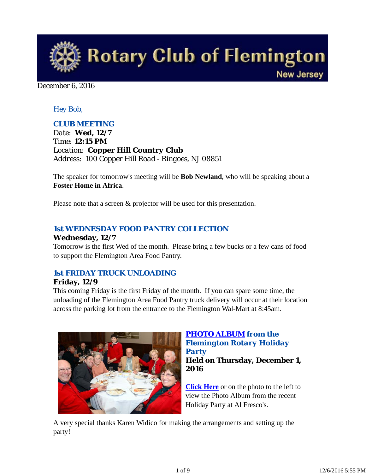

December 6, 2016

# *Hey Bob,*

# *CLUB MEETING*

*Date: Wed, 12/7 Time: 12:15 PM Location: Copper Hill Country Club Address: 100 Copper Hill Road - Ringoes, NJ 08851*

The speaker for tomorrow's meeting will be **Bob Newland**, who will be speaking about a **Foster Home in Africa**.

Please note that a screen  $\&$  projector will be used for this presentation.

## *1st WEDNESDAY FOOD PANTRY COLLECTION* **Wednesday, 12/7**

Tomorrow is the first Wed of the month. Please bring a few bucks or a few cans of food to support the Flemington Area Food Pantry.

# *1st FRIDAY TRUCK UNLOADING*

## **Friday, 12/9**

This coming Friday is the first Friday of the month. If you can spare some time, the unloading of the Flemington Area Food Pantry truck delivery will occur at their location across the parking lot from the entrance to the Flemington Wal-Mart at 8:45am.



## *PHOTO ALBUM from the Flemington Rotary Holiday Party* **Held on Thursday, December 1, 2016**

**Click Here** or on the photo to the left to view the Photo Album from the recent Holiday Party at Al Fresco's.

A very special thanks Karen Widico for making the arrangements and setting up the party!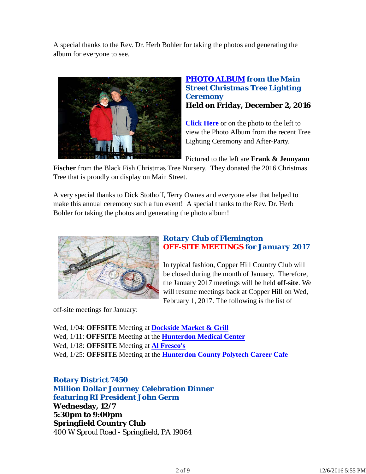A special thanks to the Rev. Dr. Herb Bohler for taking the photos and generating the album for everyone to see.



# *PHOTO ALBUM from the Main Street Christmas Tree Lighting Ceremony* **Held on Friday, December 2, 2016**

**Click Here** or on the photo to the left to view the Photo Album from the recent Tree Lighting Ceremony and After-Party.

Pictured to the left are **Frank & Jennyann**

**Fischer** from the Black Fish Christmas Tree Nursery. They donated the 2016 Christmas Tree that is proudly on display on Main Street.

A very special thanks to Dick Stothoff, Terry Ownes and everyone else that helped to make this annual ceremony such a fun event! A special thanks to the Rev. Dr. Herb Bohler for taking the photos and generating the photo album!



# *Rotary Club of Flemington OFF-SITE MEETINGS for January 2017*

In typical fashion, Copper Hill Country Club will be closed during the month of January. Therefore, the January 2017 meetings will be held **off-site**. We will resume meetings back at Copper Hill on Wed, February 1, 2017. The following is the list of

off-site meetings for January:

Wed, 1/04: **OFFSITE** Meeting at **Dockside Market & Grill** Wed, 1/11: **OFFSITE** Meeting at the **Hunterdon Medical Center** Wed, 1/18: **OFFSITE** Meeting at **Al Fresco's** Wed, 1/25: **OFFSITE** Meeting at the **Hunterdon County Polytech Career Cafe**

**Rotary District 7450** *Million Dollar Journey Celebration Dinner* **featuring RI President John Germ Wednesday, 12/7 5:30pm to 9:00pm Springfield Country Club** 400 W Sproul Road - Springfield, PA 19064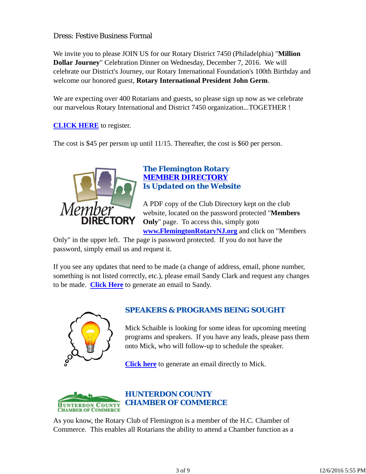# Dress: Festive Business Formal

We invite you to please JOIN US for our Rotary District 7450 (Philadelphia) "**Million Dollar Journey**" Celebration Dinner on Wednesday, December 7, 2016. We will celebrate our District's Journey, our Rotary International Foundation's 100th Birthday and welcome our honored guest, **Rotary International President John Germ**.

We are expecting over 400 Rotarians and guests, so please sign up now as we celebrate our marvelous Rotary International and District 7450 organization...TOGETHER !

**CLICK HERE** to register.

The cost is \$45 per person up until 11/15. Thereafter, the cost is \$60 per person.



# *The Flemington Rotary MEMBER DIRECTORY Is Updated on the Website*

A PDF copy of the Club Directory kept on the club website, located on the password protected "**Members Only**" page. To access this, simply goto **www.FlemingtonRotaryNJ.org** and click on "Members

Only" in the upper left. The page is password protected. If you do not have the password, simply email us and request it.

If you see any updates that need to be made (a change of address, email, phone number, something is not listed correctly, etc.), please email Sandy Clark and request any changes to be made. **Click Here** to generate an email to Sandy.



# *SPEAKERS & PROGRAMS BEING SOUGHT*

Mick Schaible is looking for some ideas for upcoming meeting programs and speakers. If you have any leads, please pass them onto Mick, who will follow-up to schedule the speaker.

**Click here** to generate an email directly to Mick.



As you know, the Rotary Club of Flemington is a member of the H.C. Chamber of Commerce. This enables all Rotarians the ability to attend a Chamber function as a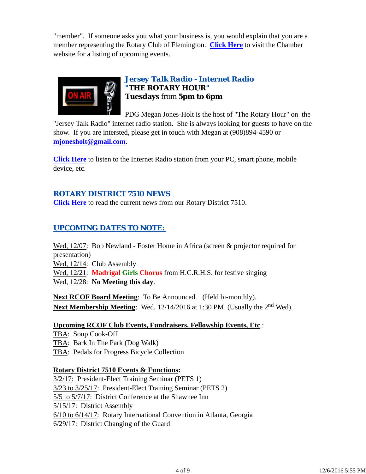"member". If someone asks you what your business is, you would explain that you are a member representing the Rotary Club of Flemington. **Click Here** to visit the Chamber website for a listing of upcoming events.



# *Jersey Talk Radio - Internet Radio "THE ROTARY HOUR"* **Tuesdays** from **5pm to 6pm**

PDG Megan Jones-Holt is the host of "The Rotary Hour" on the "Jersey Talk Radio" internet radio station. She is always looking for guests to have on the show. If you are intersted, please get in touch with Megan at (908)894-4590 or **mjonesholt@gmail.com**.

**Click Here** to listen to the Internet Radio station from your PC, smart phone, mobile device, etc.

# *ROTARY DISTRICT 7510 NEWS*

**Click Here** to read the current news from our Rotary District 7510.

# *UPCOMING DATES TO NOTE:*

Wed, 12/07: Bob Newland - Foster Home in Africa (screen & projector required for presentation)

Wed, 12/14: Club Assembly

Wed, 12/21: **Madrigal Girls Chorus** from H.C.R.H.S. for festive singing Wed, 12/28: **No Meeting this day**.

**Next RCOF Board Meeting**: To Be Announced. (Held bi-monthly). **Next Membership Meeting:** Wed, 12/14/2016 at 1:30 PM (Usually the 2<sup>nd</sup> Wed).

## **Upcoming RCOF Club Events, Fundraisers, Fellowship Events, Etc**.:

TBA: Soup Cook-Off TBA: Bark In The Park (Dog Walk) TBA: Pedals for Progress Bicycle Collection

## **Rotary District 7510 Events & Functions:**

3/2/17: President-Elect Training Seminar (PETS 1) 3/23 to 3/25/17: President-Elect Training Seminar (PETS 2) 5/5 to 5/7/17: District Conference at the Shawnee Inn 5/15/17: District Assembly 6/10 to 6/14/17: Rotary International Convention in Atlanta, Georgia 6/29/17: District Changing of the Guard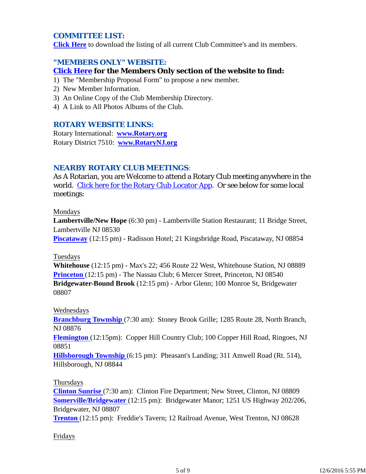# *COMMITTEE LIST:*

**Click Here** to download the listing of all current Club Committee's and its members.

## *"MEMBERS ONLY" WEBSITE:*

## **Click Here for the Members Only section of the website to find:**

- 1) The "Membership Proposal Form" to propose a new member.
- 2) New Member Information.
- 3) An Online Copy of the Club Membership Directory.
- 4) A Link to All Photos Albums of the Club.

## *ROTARY WEBSITE LINKS:*

Rotary International: **www.Rotary.org** Rotary District 7510: **www.RotaryNJ.org**

## *NEARBY ROTARY CLUB MEETINGS:*

As A Rotarian, you are Welcome to attend a Rotary Club meeting anywhere in the world. Click here for the Rotary Club Locator App. Or see below for some local meetings:

#### Mondays

**Lambertville/New Hope** (6:30 pm) - Lambertville Station Restaurant; 11 Bridge Street, Lambertville NJ 08530

**Piscataway** (12:15 pm) - Radisson Hotel; 21 Kingsbridge Road, Piscataway, NJ 08854

## Tuesdays

**Whitehouse** (12:15 pm) - Max's 22; 456 Route 22 West, Whitehouse Station, NJ 08889 **Princeton** (12:15 pm) - The Nassau Club; 6 Mercer Street, Princeton, NJ 08540 **Bridgewater-Bound Brook** (12:15 pm) - Arbor Glenn; 100 Monroe St, Bridgewater 08807

## Wednesdays

**Branchburg Township** (7:30 am): Stoney Brook Grille; 1285 Route 28, North Branch, NJ 08876

**Flemington** (12:15pm): Copper Hill Country Club; 100 Copper Hill Road, Ringoes, NJ 08851

**Hillsborough Township** (6:15 pm): Pheasant's Landing; 311 Amwell Road (Rt. 514), Hillsborough, NJ 08844

## Thursdays

**Clinton Sunrise** (7:30 am): Clinton Fire Department; New Street, Clinton, NJ 08809 **Somerville/Bridgewater** (12:15 pm): Bridgewater Manor; 1251 US Highway 202/206, Bridgewater, NJ 08807

**Trenton** (12:15 pm): Freddie's Tavern; 12 Railroad Avenue, West Trenton, NJ 08628

## Fridays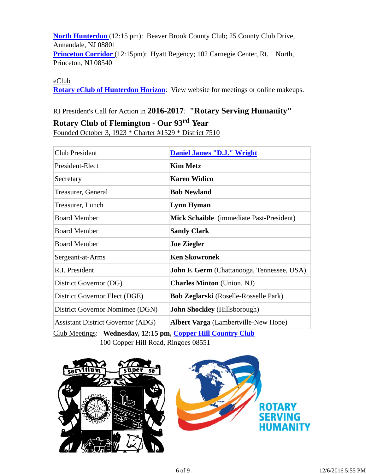**North Hunterdon** (12:15 pm): Beaver Brook County Club; 25 County Club Drive, Annandale, NJ 08801 **Princeton Corridor** (12:15pm): Hyatt Regency; 102 Carnegie Center, Rt. 1 North, Princeton, NJ 08540

eClub

**Rotary eClub of Hunterdon Horizon**: View website for meetings or online makeups.

# RI President's Call for Action in **2016-2017**: **"Rotary Serving Humanity"**

# **Rotary Club of Flemington - Our 93rd Year**

Founded October 3, 1923 \* Charter #1529 \* District 7510

| Club President                           | <b>Daniel James "D.J." Wright</b>                 |
|------------------------------------------|---------------------------------------------------|
| President-Elect                          | <b>Kim Metz</b>                                   |
| Secretary                                | <b>Karen Widico</b>                               |
| Treasurer, General                       | <b>Bob Newland</b>                                |
| Treasurer, Lunch                         | <b>Lynn Hyman</b>                                 |
| <b>Board Member</b>                      | <b>Mick Schaible</b> (immediate Past-President)   |
| <b>Board Member</b>                      | <b>Sandy Clark</b>                                |
| <b>Board Member</b>                      | <b>Joe Ziegler</b>                                |
| Sergeant-at-Arms                         | <b>Ken Skowronek</b>                              |
| R.I. President                           | <b>John F. Germ</b> (Chattanooga, Tennessee, USA) |
| District Governor (DG)                   | <b>Charles Minton</b> (Union, NJ)                 |
| District Governor Elect (DGE)            | <b>Bob Zeglarski</b> (Roselle-Rosselle Park)      |
| District Governor Nomimee (DGN)          | <b>John Shockley</b> (Hillsborough)               |
| <b>Assistant District Governor (ADG)</b> | <b>Albert Varga</b> (Lambertville-New Hope)       |

Club Meetings: **Wednesday, 12:15 pm, Copper Hill Country Club** 100 Copper Hill Road, Ringoes 08551



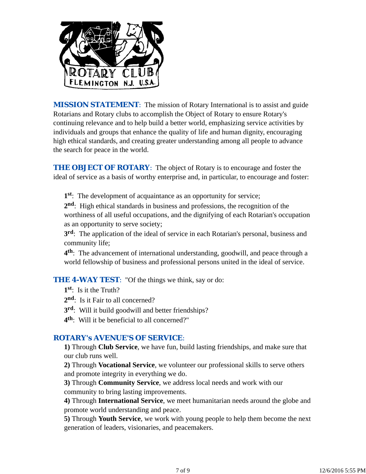

*MISSION STATEMENT*: The mission of Rotary International is to assist and guide Rotarians and Rotary clubs to accomplish the Object of Rotary to ensure Rotary's continuing relevance and to help build a better world, emphasizing service activities by individuals and groups that enhance the quality of life and human dignity, encouraging high ethical standards, and creating greater understanding among all people to advance the search for peace in the world.

**THE OBJECT OF ROTARY:** The object of Rotary is to encourage and foster the ideal of service as a basis of worthy enterprise and, in particular, to encourage and foster:

**1st**: The development of acquaintance as an opportunity for service;

**2nd**: High ethical standards in business and professions, the recognition of the worthiness of all useful occupations, and the dignifying of each Rotarian's occupation as an opportunity to serve society;

**3rd**: The application of the ideal of service in each Rotarian's personal, business and community life;

**4th**: The advancement of international understanding, goodwill, and peace through a world fellowship of business and professional persons united in the ideal of service.

**THE 4-WAY TEST:** "Of the things we think, say or do:

**1st**: Is it the Truth?

2<sup>nd</sup>: Is it Fair to all concerned?

**3rd**: Will it build goodwill and better friendships?

**4th**: Will it be beneficial to all concerned?"

## *ROTARY's AVENUE'S OF SERVICE*:

**1)** Through **Club Service**, we have fun, build lasting friendships, and make sure that our club runs well.

**2)** Through **Vocational Service**, we volunteer our professional skills to serve others and promote integrity in everything we do.

**3)** Through **Community Service**, we address local needs and work with our community to bring lasting improvements.

**4)** Through **International Service**, we meet humanitarian needs around the globe and promote world understanding and peace.

**5)** Through **Youth Service**, we work with young people to help them become the next generation of leaders, visionaries, and peacemakers.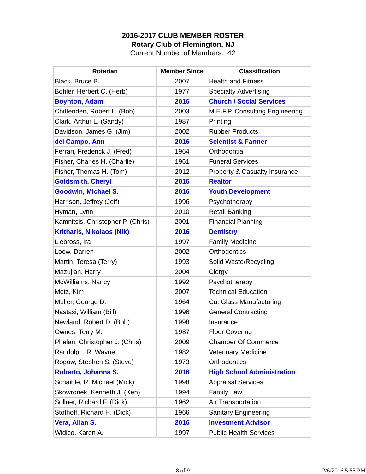# **2016-2017 CLUB MEMBER ROSTER Rotary Club of Flemington, NJ**

Current Number of Members: 42

| <b>Rotarian</b>                   | <b>Member Since</b> | <b>Classification</b>             |
|-----------------------------------|---------------------|-----------------------------------|
| Black, Bruce B.                   | 2007                | <b>Health and Fitness</b>         |
| Bohler, Herbert C. (Herb)         | 1977                | <b>Specialty Advertising</b>      |
| <b>Boynton, Adam</b>              | 2016                | <b>Church / Social Services</b>   |
| Chittenden, Robert L. (Bob)       | 2003                | M.E.F.P. Consulting Engineering   |
| Clark, Arthur L. (Sandy)          | 1987                | Printing                          |
| Davidson, James G. (Jim)          | 2002                | <b>Rubber Products</b>            |
| del Campo, Ann                    | 2016                | <b>Scientist &amp; Farmer</b>     |
| Ferrari, Frederick J. (Fred)      | 1964                | Orthodontia                       |
| Fisher, Charles H. (Charlie)      | 1961                | <b>Funeral Services</b>           |
| Fisher, Thomas H. (Tom)           | 2012                | Property & Casualty Insurance     |
| <b>Goldsmith, Cheryl</b>          | 2016                | <b>Realtor</b>                    |
| <b>Goodwin, Michael S.</b>        | 2016                | <b>Youth Development</b>          |
| Harrison, Jeffrey (Jeff)          | 1996                | Psychotherapy                     |
| Hyman, Lynn                       | 2010                | <b>Retail Banking</b>             |
| Kamnitsis, Christopher P. (Chris) | 2001                | <b>Financial Planning</b>         |
| <b>Kritharis, Nikolaos (Nik)</b>  | 2016                | <b>Dentistry</b>                  |
| Liebross, Ira                     | 1997                | <b>Family Medicine</b>            |
| Loew, Darren                      | 2002                | Orthodontics                      |
| Martin, Teresa (Terry)            | 1993                | Solid Waste/Recycling             |
| Mazujian, Harry                   | 2004                | Clergy                            |
| McWilliams, Nancy                 | 1992                | Psychotherapy                     |
| Metz, Kim                         | 2007                | <b>Technical Education</b>        |
| Muller, George D.                 | 1964                | <b>Cut Glass Manufacturing</b>    |
| Nastasi, William (Bill)           | 1996                | <b>General Contracting</b>        |
| Newland, Robert D. (Bob)          | 1998                | Insurance                         |
| Ownes, Terry M.                   | 1987                | <b>Floor Covering</b>             |
| Phelan, Christopher J. (Chris)    | 2009                | <b>Chamber Of Commerce</b>        |
| Randolph, R. Wayne                | 1982                | <b>Veterinary Medicine</b>        |
| Rogow, Stephen S. (Steve)         | 1973                | Orthodontics                      |
| Ruberto, Johanna S.               | 2016                | <b>High School Administration</b> |
| Schaible, R. Michael (Mick)       | 1998                | <b>Appraisal Services</b>         |
| Skowronek, Kenneth J. (Ken)       | 1994                | <b>Family Law</b>                 |
| Sollner, Richard F. (Dick)        | 1962                | Air Transportation                |
| Stothoff, Richard H. (Dick)       | 1966                | <b>Sanitary Engineering</b>       |
| Vera, Allan S.                    | 2016                | <b>Investment Advisor</b>         |
| Widico, Karen A.                  | 1997                | <b>Public Health Services</b>     |